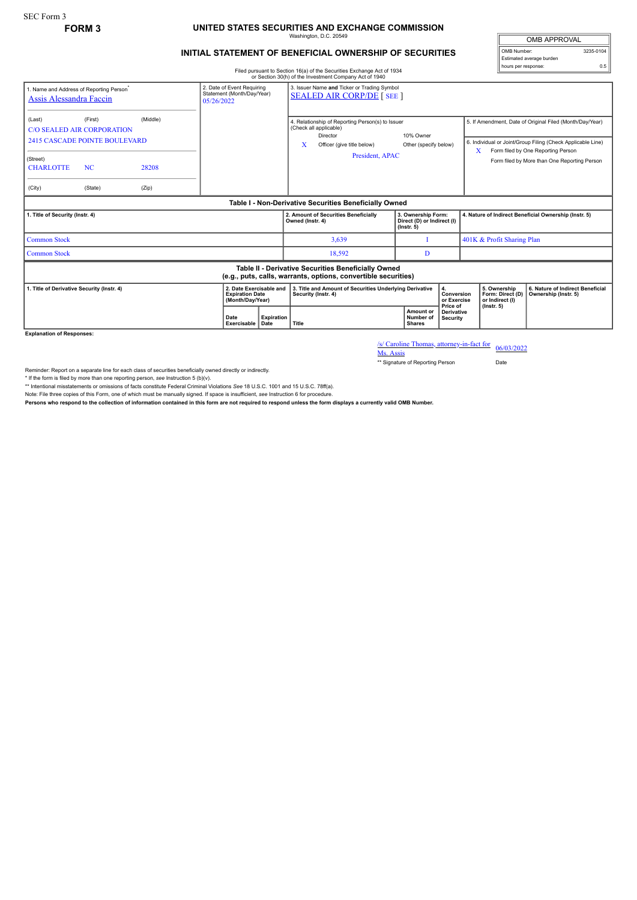## **FORM 3 UNITED STATES SECURITIES AND EXCHANGE COMMISSION** Washington, D.C. 20549

## **INITIAL STATEMENT OF BENEFICIAL OWNERSHIP OF SECURITIES**

Filed pursuant to Section 16(a) of the Securities Exchange Act of 1934 or Section 30(h) of the Investment Company Act of 1940

OMB APPROVAL OMB Number: 3235-0104 Estimated average burden hours per response: 0.5

| 1. Name and Address of Reporting Person <sup>®</sup><br><b>Assis Alessandra Faccin</b>                                |                                                                                                              | 2. Date of Event Requiring<br>Statement (Month/Day/Year)<br>05/26/2022 |                     | 3. Issuer Name and Ticker or Trading Symbol<br><b>SEALED AIR CORP/DE [SEE]</b> |                                                                                                                                              |                                                                      |                                       |                                                     |                                                                                                                                                                                                               |
|-----------------------------------------------------------------------------------------------------------------------|--------------------------------------------------------------------------------------------------------------|------------------------------------------------------------------------|---------------------|--------------------------------------------------------------------------------|----------------------------------------------------------------------------------------------------------------------------------------------|----------------------------------------------------------------------|---------------------------------------|-----------------------------------------------------|---------------------------------------------------------------------------------------------------------------------------------------------------------------------------------------------------------------|
| (Last)<br>(Street)<br><b>CHARLOTTE</b><br>(City)                                                                      | (First)<br><b>C/O SEALED AIR CORPORATION</b><br><b>2415 CASCADE POINTE BOULEVARD</b><br><b>NC</b><br>(State) | (Middle)<br>28208<br>(Zip)                                             |                     |                                                                                | 4. Relationship of Reporting Person(s) to Issuer<br>(Check all applicable)<br>Director<br>x<br>Officer (give title below)<br>President, APAC | 10% Owner<br>Other (specify below)                                   |                                       | X                                                   | 5. If Amendment, Date of Original Filed (Month/Day/Year)<br>6. Individual or Joint/Group Filing (Check Applicable Line)<br>Form filed by One Reporting Person<br>Form filed by More than One Reporting Person |
| Table I - Non-Derivative Securities Beneficially Owned                                                                |                                                                                                              |                                                                        |                     |                                                                                |                                                                                                                                              |                                                                      |                                       |                                                     |                                                                                                                                                                                                               |
| 1. Title of Security (Instr. 4)                                                                                       |                                                                                                              |                                                                        |                     |                                                                                | 2. Amount of Securities Beneficially<br>Owned (Instr. 4)                                                                                     | 3. Ownership Form:<br>Direct (D) or Indirect (I)<br>$($ lnstr. 5 $)$ |                                       |                                                     | 4. Nature of Indirect Beneficial Ownership (Instr. 5)                                                                                                                                                         |
| <b>Common Stock</b>                                                                                                   |                                                                                                              |                                                                        |                     |                                                                                | 3,639                                                                                                                                        |                                                                      |                                       | 401K & Profit Sharing Plan                          |                                                                                                                                                                                                               |
| <b>Common Stock</b>                                                                                                   |                                                                                                              |                                                                        |                     |                                                                                | 18,592                                                                                                                                       | D                                                                    |                                       |                                                     |                                                                                                                                                                                                               |
| Table II - Derivative Securities Beneficially Owned<br>(e.g., puts, calls, warrants, options, convertible securities) |                                                                                                              |                                                                        |                     |                                                                                |                                                                                                                                              |                                                                      |                                       |                                                     |                                                                                                                                                                                                               |
| 1. Title of Derivative Security (Instr. 4)<br>2. Date Exercisable and<br><b>Expiration Date</b><br>(Month/Day/Year)   |                                                                                                              |                                                                        |                     |                                                                                | 3. Title and Amount of Securities Underlying Derivative<br>4.<br>Security (Instr. 4)                                                         |                                                                      | Conversion<br>or Exercise<br>Price of | 5. Ownership<br>Form: Direct (D)<br>or Indirect (I) | 6. Nature of Indirect Beneficial<br>Ownership (Instr. 5)                                                                                                                                                      |
|                                                                                                                       |                                                                                                              |                                                                        | Date<br>Exercisable | <b>Expiration</b><br>Date                                                      | Title                                                                                                                                        | Amount or<br>Number of<br><b>Shares</b>                              | <b>Derivative</b><br>Security         | $($ lnstr. 5 $)$                                    |                                                                                                                                                                                                               |

**Explanation of Responses:**

/s/ Caroline Thomas, attorney-in-fact for Ms. Assis 06/03/2022

\*\* Signature of Reporting Person Date

Reminder: Report on a separate line for each class of securities beneficially owned directly or indirectly.

\* If the form is filed by more than one reporting person, *see* Instruction 5 (b)(v).

\*\* Intentional misstatements or omissions of facts constitute Federal Criminal Violations *See* 18 U.S.C. 1001 and 15 U.S.C. 78ff(a).

Note: File three copies of this Form, one of which must be manually signed. If space is insufficient, see Instruction 6 for procedure.<br>Persons who respond to the collection of information contained in this form are not req